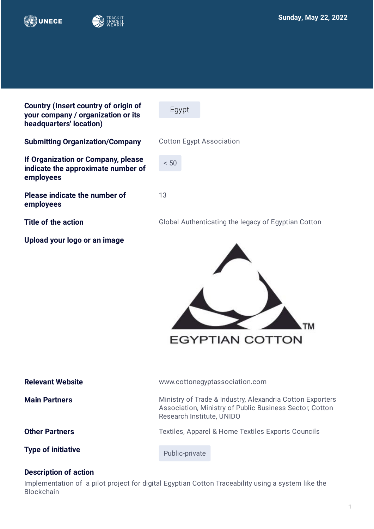

**employees**

**employees** 







| <b>Relevant Website</b>   | www.cottonegyptassociation.com                                                                                                                    |  |
|---------------------------|---------------------------------------------------------------------------------------------------------------------------------------------------|--|
| <b>Main Partners</b>      | Ministry of Trade & Industry, Alexandria Cotton Exporters<br>Association, Ministry of Public Business Sector, Cotton<br>Research Institute, UNIDO |  |
| <b>Other Partners</b>     | Textiles, Apparel & Home Textiles Exports Councils                                                                                                |  |
| <b>Type of initiative</b> | Public-private                                                                                                                                    |  |

## **Description of action**

Implementation of a pilot project for digital Egyptian Cotton Traceability using a system like the **Blockchain**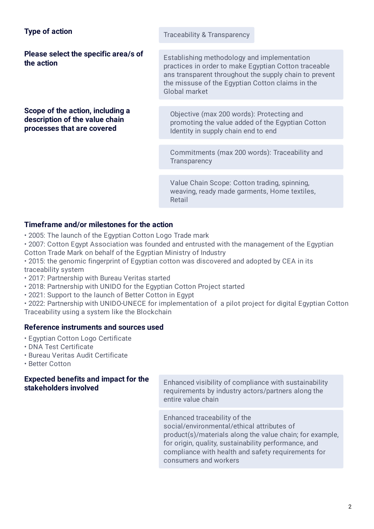| <b>Type of action</b> |  |
|-----------------------|--|
|-----------------------|--|

**Please select the specific area/s of** 

**Scope of the action, including a description of the value chain processes that are covered**

**Traceability & Transparency** 

**Please select the specific area/s of**<br> **the action** practices in order to make Egyptian Cotton traceable ans transparent throughout the supply chain to prevent the missuse of the Egyptian Cotton claims in the Global market

> Objective (max 200 words): Protecting and promoting the value added of the Egyptian Cotton Identity in supply chain end to end

Commitments (max 200 words): Traceability and **Transparency** 

Value Chain Scope: Cotton trading, spinning, weaving, ready made garments, Home textiles, Retail

## **Timeframe and/or milestones for the action**

- 2005: The launch of the Egyptian Cotton Logo Trade mark
- 2007: Cotton Egypt Association was founded and entrusted with the management of the Egyptian Cotton Trade Mark on behalf of the Egyptian Ministry of Industry
- 2015: the genomic fingerprint of Egyptian cotton was discovered and adopted by CEA in its traceability system
- 2017: Partnership with Bureau Veritas started
- 2018: Partnership with UNIDO for the Egyptian Cotton Project started
- 2021: Support to the launch of Better Cotton in Egypt
- 2022: Partnership with UNIDO-UNECE for implementation of a pilot project for digital Egyptian Cotton Traceability using a system like the Blockchain

## **Reference instruments and sources used**

- Egyptian Cotton Logo Certificate
- DNA Test Certificate
- Bureau Veritas Audit Certificate
- Better Cotton

# **Expected benefits and impact for the**

**Expected benefits and impact for the**<br>**Stakeholders involved** Enhanced visibility of compliance with sustainability<br>examinements by industry extens (pertains along the requirements by industry actors/partners along the entire value chain

> Enhanced traceability of the social/environmental/ethical attributes of product(s)/materials along the value chain; for example, for origin, quality, sustainability performance, and compliance with health and safety requirements for consumers and workers